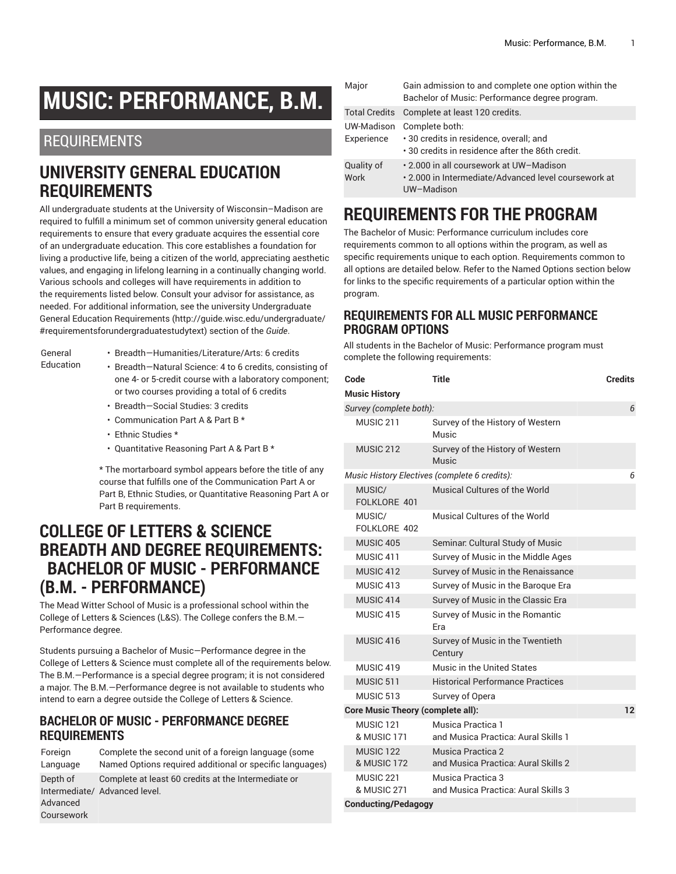# **MUSIC: PERFORMANCE, B.M.**

### REQUIREMENTS

### **UNIVERSITY GENERAL EDUCATION REQUIREMENTS**

All undergraduate students at the University of Wisconsin–Madison are required to fulfill a minimum set of common university general education requirements to ensure that every graduate acquires the essential core of an undergraduate education. This core establishes a foundation for living a productive life, being a citizen of the world, appreciating aesthetic values, and engaging in lifelong learning in a continually changing world. Various schools and colleges will have requirements in addition to the requirements listed below. Consult your advisor for assistance, as needed. For additional information, see the university Undergraduate General Education [Requirements](http://guide.wisc.edu/undergraduate/#requirementsforundergraduatestudytext) ([http://guide.wisc.edu/undergraduate/](http://guide.wisc.edu/undergraduate/#requirementsforundergraduatestudytext) [#requirementsforundergraduatestudytext](http://guide.wisc.edu/undergraduate/#requirementsforundergraduatestudytext)) section of the *Guide*.

- General
- Breadth—Humanities/Literature/Arts: 6 credits
- Education
- 
- Breadth—Natural Science: 4 to 6 credits, consisting of one 4- or 5-credit course with a laboratory component; or two courses providing a total of 6 credits
	- Breadth—Social Studies: 3 credits
	- Communication Part A & Part B \*
	- Ethnic Studies \*
	- Quantitative Reasoning Part A & Part B \*

\* The mortarboard symbol appears before the title of any course that fulfills one of the Communication Part A or Part B, Ethnic Studies, or Quantitative Reasoning Part A or Part B requirements.

### **COLLEGE OF LETTERS & SCIENCE BREADTH AND DEGREE REQUIREMENTS: BACHELOR OF MUSIC - PERFORMANCE (B.M. - PERFORMANCE)**

The Mead Witter School of Music is a professional school within the College of Letters & Sciences (L&S). The College confers the B.M.— Performance degree.

Students pursuing a Bachelor of Music—Performance degree in the College of Letters & Science must complete all of the requirements below. The B.M.—Performance is a special degree program; it is not considered a major. The B.M.—Performance degree is not available to students who intend to earn a degree outside the College of Letters & Science.

### **BACHELOR OF MUSIC - PERFORMANCE DEGREE REQUIREMENTS**

| Foreign                            | Complete the second unit of a foreign language (some                                 |
|------------------------------------|--------------------------------------------------------------------------------------|
| Language                           | Named Options required additional or specific languages)                             |
| Depth of<br>Advanced<br>Coursework | Complete at least 60 credits at the Intermediate or<br>Intermediate/ Advanced level. |

|  | Major              | Gain admission to and complete one option within the<br>Bachelor of Music: Performance degree program.                 |
|--|--------------------|------------------------------------------------------------------------------------------------------------------------|
|  |                    | Total Credits Complete at least 120 credits.                                                                           |
|  | Experience         | UW-Madison Complete both:<br>.30 credits in residence, overall; and<br>.30 credits in residence after the 86th credit. |
|  | Quality of<br>Work | . 2.000 in all coursework at UW-Madison<br>. 2.000 in Intermediate/Advanced level coursework at<br>UW-Madison          |

# **REQUIREMENTS FOR THE PROGRAM**

The Bachelor of Music: Performance curriculum includes core requirements common to all options within the program, as well as specific requirements unique to each option. Requirements common to all options are detailed below. Refer to the Named Options section below for links to the specific requirements of a particular option within the program.

#### **REQUIREMENTS FOR ALL MUSIC PERFORMANCE PROGRAM OPTIONS**

All students in the Bachelor of Music: Performance program must complete the following requirements:

| Code                                     | <b>Title</b>                                             | <b>Credits</b>    |
|------------------------------------------|----------------------------------------------------------|-------------------|
| <b>Music History</b>                     |                                                          |                   |
| Survey (complete both):                  |                                                          | 6                 |
| MUSIC <sub>211</sub>                     | Survey of the History of Western<br>Music                |                   |
| <b>MUSIC 212</b>                         | Survey of the History of Western<br>Music                |                   |
|                                          | Music History Electives (complete 6 credits):            | 6                 |
| MUSIC/<br>FOLKLORE 401                   | Musical Cultures of the World                            |                   |
| MUSIC/<br>FOLKLORE 402                   | Musical Cultures of the World                            |                   |
| MUSIC <sub>405</sub>                     | Seminar. Cultural Study of Music                         |                   |
| MUSIC <sub>411</sub>                     | Survey of Music in the Middle Ages                       |                   |
| MUSIC 412                                | Survey of Music in the Renaissance                       |                   |
| MUSIC 413                                | Survey of Music in the Baroque Era                       |                   |
| MUSIC 414                                | Survey of Music in the Classic Era                       |                   |
| MUSIC 415                                | Survey of Music in the Romantic<br>Era                   |                   |
| MUSIC 416                                | Survey of Music in the Twentieth<br>Century              |                   |
| MUSIC 419                                | Music in the United States                               |                   |
| MUSIC <sub>511</sub>                     | <b>Historical Performance Practices</b>                  |                   |
| MUSIC 513                                | Survey of Opera                                          |                   |
| <b>Core Music Theory (complete all):</b> |                                                          | $12 \overline{ }$ |
| MUSIC <sub>121</sub><br>& MUSIC 171      | Musica Practica 1<br>and Musica Practica: Aural Skills 1 |                   |
| <b>MUSIC 122</b><br>& MUSIC 172          | Musica Practica 2<br>and Musica Practica: Aural Skills 2 |                   |
| MUSIC <sub>221</sub><br>& MUSIC 271      | Musica Practica 3<br>and Musica Practica: Aural Skills 3 |                   |
| <b>Conducting/Pedagogy</b>               |                                                          |                   |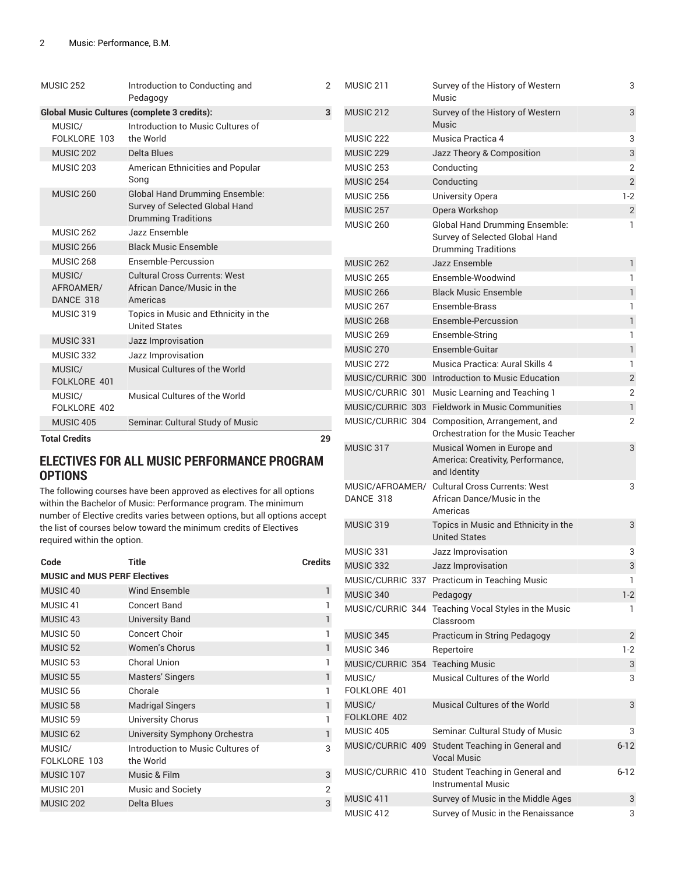|                                                    | MUSIC 252                                      | Introduction to Conducting and<br>Pedagogy                   | 2  | MUSIC 211            | Survey of the History of Western<br>Music        |  |
|----------------------------------------------------|------------------------------------------------|--------------------------------------------------------------|----|----------------------|--------------------------------------------------|--|
| <b>Global Music Cultures (complete 3 credits):</b> |                                                |                                                              | 3  | MUSIC 212            | Survey of the History of Western                 |  |
|                                                    | MUSIC/                                         | Introduction to Music Cultures of                            |    |                      | <b>Music</b>                                     |  |
|                                                    | FOLKLORE 103                                   | the World                                                    |    | MUSIC <sub>222</sub> | Musica Practica 4                                |  |
|                                                    | <b>MUSIC 202</b>                               | Delta Blues                                                  |    | <b>MUSIC 229</b>     | Jazz Theory & Composition                        |  |
|                                                    | MUSIC <sub>203</sub>                           | American Ethnicities and Popular                             |    | MUSIC <sub>253</sub> | Conducting                                       |  |
|                                                    |                                                | Song                                                         |    | <b>MUSIC 254</b>     | Conducting                                       |  |
|                                                    | MUSIC <sub>260</sub>                           | <b>Global Hand Drumming Ensemble:</b>                        |    | <b>MUSIC 256</b>     | University Opera                                 |  |
|                                                    |                                                | Survey of Selected Global Hand                               |    | MUSIC <sub>257</sub> | Opera Workshop                                   |  |
|                                                    |                                                | <b>Drumming Traditions</b>                                   |    | MUSIC <sub>260</sub> | <b>Global Hand Drumming Ensemble:</b>            |  |
|                                                    | <b>MUSIC 262</b>                               | Jazz Ensemble                                                |    |                      | Survey of Selected Global Hand                   |  |
|                                                    | MUSIC <sub>266</sub>                           | <b>Black Music Ensemble</b>                                  |    |                      | <b>Drumming Traditions</b>                       |  |
|                                                    | MUSIC <sub>268</sub>                           | Ensemble-Percussion                                          |    | <b>MUSIC 262</b>     | Jazz Ensemble                                    |  |
|                                                    | <b>Cultural Cross Currents: West</b><br>MUSIC/ |                                                              |    | <b>MUSIC 265</b>     | Ensemble-Woodwind                                |  |
|                                                    | AFROAMER/                                      | African Dance/Music in the                                   |    | <b>MUSIC 266</b>     | <b>Black Music Ensemble</b>                      |  |
|                                                    | DANCE 318                                      | Americas                                                     |    | MUSIC 267            | Ensemble-Brass                                   |  |
|                                                    | MUSIC 319                                      | Topics in Music and Ethnicity in the<br><b>United States</b> |    | <b>MUSIC 268</b>     | Ensemble-Percussion                              |  |
|                                                    | MUSIC 331                                      | Jazz Improvisation                                           |    | <b>MUSIC 269</b>     | Ensemble-String                                  |  |
|                                                    | MUSIC 332                                      | Jazz Improvisation                                           |    | MUSIC <sub>270</sub> | Ensemble-Guitar                                  |  |
|                                                    | MUSIC/                                         | Musical Cultures of the World                                |    | MUSIC 272            | Musica Practica: Aural Skills 4                  |  |
|                                                    | FOLKLORE 401                                   |                                                              |    |                      | MUSIC/CURRIC 300 Introduction to Music Education |  |
|                                                    | MUSIC/                                         | Musical Cultures of the World                                |    |                      | MUSIC/CURRIC 301 Music Learning and Teaching 1   |  |
|                                                    | FOLKLORE 402                                   |                                                              |    |                      | MUSIC/CURRIC 303 Fieldwork in Music Communities  |  |
|                                                    | MUSIC 405                                      | Seminar. Cultural Study of Music                             |    |                      | MUSIC/CURRIC 304 Composition, Arrangement, and   |  |
|                                                    | <b>Total Credits</b>                           |                                                              | 29 |                      | Orchestration for the Music Teacher              |  |
|                                                    |                                                |                                                              |    |                      |                                                  |  |

#### **ELECTIVES FOR ALL MUSIC PERFORMANCE PROGRAM OPTIONS**

The following courses have been approved as electives for all options within the Bachelor of Music: Performance program. The minimum number of Elective credits varies between options, but all options accept the list of courses below toward the minimum credits of Electives required within the option.

| Code                                | Title                                          | <b>Credits</b> |
|-------------------------------------|------------------------------------------------|----------------|
| <b>MUSIC and MUS PERF Electives</b> |                                                |                |
| MUSIC <sub>40</sub>                 | <b>Wind Ensemble</b>                           | 1              |
| MUSIC <sub>41</sub>                 | Concert Band                                   |                |
| MUSIC <sub>43</sub>                 | <b>University Band</b>                         | $\mathbf{1}$   |
| MUSIC <sub>50</sub>                 | <b>Concert Choir</b>                           | 1              |
| <b>MUSIC 52</b>                     | <b>Women's Chorus</b>                          | 1              |
| MUSIC <sub>53</sub>                 | Choral Union                                   | 1              |
| MUSIC <sub>55</sub>                 | Masters' Singers                               | 1              |
| MUSIC <sub>56</sub>                 | Chorale                                        |                |
| MUSIC <sub>58</sub>                 | <b>Madrigal Singers</b>                        | 1              |
| MUSIC <sub>59</sub>                 | University Chorus                              |                |
| MUSIC <sub>62</sub>                 | University Symphony Orchestra                  | 1              |
| MUSIC/<br>FOLKLORE 103              | Introduction to Music Cultures of<br>the World | 3              |
| MUSIC <sub>107</sub>                | Music & Film                                   | 3              |
| MUSIC <sub>201</sub>                | <b>Music and Society</b>                       | $\overline{2}$ |
| <b>MUSIC 202</b>                    | Delta Blues                                    | 3              |

| MUSIC 222                       | Musica Practica 4                                                                                     | 3              |
|---------------------------------|-------------------------------------------------------------------------------------------------------|----------------|
| MUSIC <sub>229</sub>            | Jazz Theory & Composition                                                                             | 3              |
| MUSIC 253                       | Conducting                                                                                            | $\overline{2}$ |
| MUSIC 254                       | Conducting                                                                                            | $\overline{2}$ |
| <b>MUSIC 256</b>                | University Opera                                                                                      | 1-2            |
| MUSIC 257                       | Opera Workshop                                                                                        | $\overline{2}$ |
| MUSIC 260                       | <b>Global Hand Drumming Ensemble:</b><br>Survey of Selected Global Hand<br><b>Drumming Traditions</b> | 1              |
| MUSIC 262                       | Jazz Ensemble                                                                                         | $\mathbf{1}$   |
| MUSIC 265                       | Ensemble-Woodwind                                                                                     | 1              |
| MUSIC <sub>266</sub>            | <b>Black Music Ensemble</b>                                                                           | $\mathbf{1}$   |
| MUSIC 267                       | Ensemble-Brass                                                                                        | 1              |
| <b>MUSIC 268</b>                | Ensemble-Percussion                                                                                   | 1              |
| MUSIC 269                       | Ensemble-String                                                                                       | 1              |
| MUSIC <sub>270</sub>            | Ensemble-Guitar                                                                                       | $\mathbf{1}$   |
| MUSIC 272                       | Musica Practica: Aural Skills 4                                                                       | 1              |
|                                 | MUSIC/CURRIC 300 Introduction to Music Education                                                      | $\overline{c}$ |
|                                 | MUSIC/CURRIC 301 Music Learning and Teaching 1                                                        | $\overline{2}$ |
|                                 | MUSIC/CURRIC 303 Fieldwork in Music Communities                                                       | 1              |
|                                 | MUSIC/CURRIC 304 Composition, Arrangement, and<br>Orchestration for the Music Teacher                 | $\overline{2}$ |
| MUSIC 317                       | Musical Women in Europe and<br>America: Creativity, Performance,<br>and Identity                      | 3              |
| DANCE 318                       | MUSIC/AFROAMER/ Cultural Cross Currents: West<br>African Dance/Music in the<br>Americas               | 3              |
| MUSIC 319                       | Topics in Music and Ethnicity in the<br><b>United States</b>                                          | 3              |
| MUSIC 331                       | Jazz Improvisation                                                                                    | 3              |
| MUSIC 332                       | Jazz Improvisation                                                                                    | 3              |
|                                 | MUSIC/CURRIC 337 Practicum in Teaching Music                                                          | 1              |
| MUSIC 340                       | Pedagogy                                                                                              | $1 - 2$        |
|                                 | MUSIC/CURRIC 344 Teaching Vocal Styles in the Music<br>Classroom                                      | 1              |
| MUSIC 345                       | Practicum in String Pedagogy                                                                          | 2              |
| MUSIC 346                       | Repertoire                                                                                            | 1-2            |
| MUSIC/CURRIC 354 Teaching Music |                                                                                                       | 3              |
| MUSIC/<br>FOLKLORE 401          | Musical Cultures of the World                                                                         | 3              |
| MUSIC/<br>FOLKLORE 402          | Musical Cultures of the World                                                                         | 3              |
| MUSIC 405                       | Seminar. Cultural Study of Music                                                                      | 3              |
| MUSIC/CURRIC 409                | Student Teaching in General and<br><b>Vocal Music</b>                                                 | $6 - 12$       |
| MUSIC/CURRIC 410                | Student Teaching in General and<br><b>Instrumental Music</b>                                          | $6 - 12$       |
| MUSIC 411                       | Survey of Music in the Middle Ages                                                                    | 3              |
| MUSIC 412                       | Survey of Music in the Renaissance                                                                    | 3              |

3

3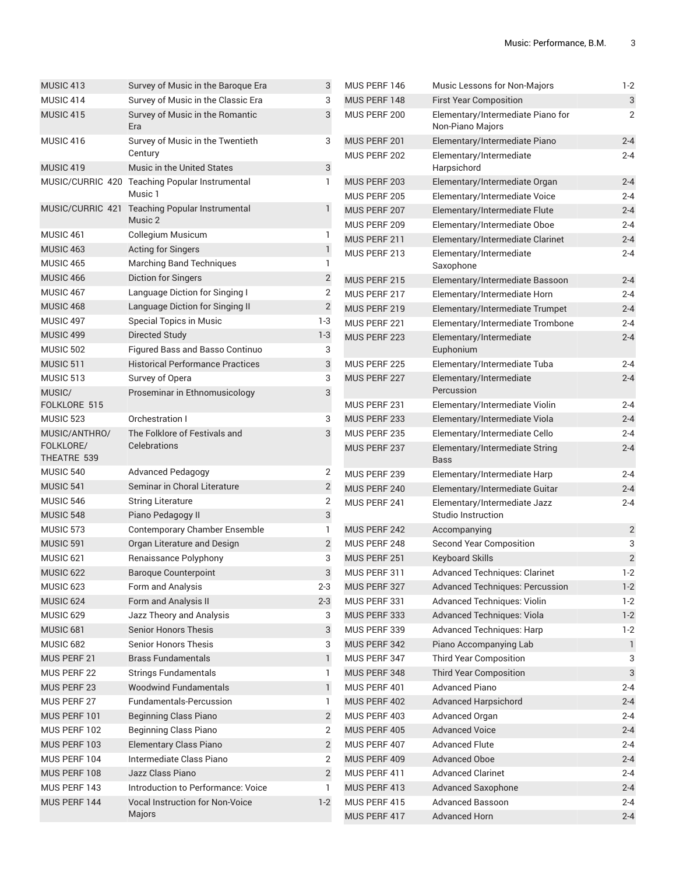| MUSIC <sub>413</sub> | Survey of Music in the Baroque Era                        | 3              | MUS PERF 146 | Music Lessons for Non-Majors                          | $1 - 2$                 |
|----------------------|-----------------------------------------------------------|----------------|--------------|-------------------------------------------------------|-------------------------|
| MUSIC 414            | Survey of Music in the Classic Era                        | 3              | MUS PERF 148 | <b>First Year Composition</b>                         | $\sqrt{3}$              |
| MUSIC 415            | Survey of Music in the Romantic<br>Era                    | 3              | MUS PERF 200 | Elementary/Intermediate Piano for<br>Non-Piano Majors | $\overline{2}$          |
| MUSIC 416            | Survey of Music in the Twentieth                          | 3              | MUS PERF 201 | Elementary/Intermediate Piano                         | $2 - 4$                 |
|                      | Century                                                   |                | MUS PERF 202 | Elementary/Intermediate                               | $2 - 4$                 |
| MUSIC 419            | Music in the United States                                | $\sqrt{3}$     |              | Harpsichord                                           |                         |
|                      | MUSIC/CURRIC 420 Teaching Popular Instrumental            | 1              | MUS PERF 203 | Elementary/Intermediate Organ                         | $2 - 4$                 |
|                      | Music 1                                                   |                | MUS PERF 205 | Elementary/Intermediate Voice                         | $2 - 4$                 |
|                      | MUSIC/CURRIC 421 Teaching Popular Instrumental<br>Music 2 | 1              | MUS PERF 207 | Elementary/Intermediate Flute                         | $2 - 4$                 |
| MUSIC 461            | <b>Collegium Musicum</b>                                  | 1              | MUS PERF 209 | Elementary/Intermediate Oboe                          | $2 - 4$                 |
| MUSIC <sub>463</sub> | <b>Acting for Singers</b>                                 | $\mathbf{1}$   | MUS PERF 211 | Elementary/Intermediate Clarinet                      | $2 - 4$                 |
| <b>MUSIC 465</b>     | <b>Marching Band Techniques</b>                           | 1              | MUS PERF 213 | Elementary/Intermediate                               | $2 - 4$                 |
| MUSIC 466            | Diction for Singers                                       | $\mathbf{2}$   |              | Saxophone                                             |                         |
| MUSIC 467            | Language Diction for Singing I                            | 2              | MUS PERF 215 | Elementary/Intermediate Bassoon                       | $2 - 4$                 |
| MUSIC 468            | Language Diction for Singing II                           | $\overline{c}$ | MUS PERF 217 | Elementary/Intermediate Horn                          | $2 - 4$                 |
| MUSIC 497            | Special Topics in Music                                   | $1-3$          | MUS PERF 219 | Elementary/Intermediate Trumpet                       | $2 - 4$                 |
| MUSIC 499            | <b>Directed Study</b>                                     | $1 - 3$        | MUS PERF 221 | Elementary/Intermediate Trombone                      | $2 - 4$                 |
| <b>MUSIC 502</b>     | Figured Bass and Basso Continuo                           | 3              | MUS PERF 223 | Elementary/Intermediate                               | $2 - 4$                 |
| MUSIC 511            | <b>Historical Performance Practices</b>                   | 3              | MUS PERF 225 | Euphonium<br>Elementary/Intermediate Tuba             | $2 - 4$                 |
| MUSIC 513            |                                                           |                | MUS PERF 227 |                                                       | $2 - 4$                 |
| MUSIC/               | Survey of Opera                                           | 3              |              | Elementary/Intermediate<br>Percussion                 |                         |
| FOLKLORE 515         | Proseminar in Ethnomusicology                             | 3              | MUS PERF 231 | Elementary/Intermediate Violin                        | $2 - 4$                 |
| <b>MUSIC 523</b>     | Orchestration I                                           | 3              | MUS PERF 233 | Elementary/Intermediate Viola                         | $2 - 4$                 |
| MUSIC/ANTHRO/        | The Folklore of Festivals and                             | 3              | MUS PERF 235 | Elementary/Intermediate Cello                         | $2 - 4$                 |
| FOLKLORE/            | Celebrations                                              |                | MUS PERF 237 | Elementary/Intermediate String                        | $2 - 4$                 |
| THEATRE 539          |                                                           |                |              | Bass                                                  |                         |
| MUSIC 540            | <b>Advanced Pedagogy</b>                                  | 2              | MUS PERF 239 | Elementary/Intermediate Harp                          | $2 - 4$                 |
| MUSIC 541            | Seminar in Choral Literature                              | $\overline{c}$ | MUS PERF 240 | Elementary/Intermediate Guitar                        | $2 - 4$                 |
| <b>MUSIC 546</b>     | <b>String Literature</b>                                  | 2              | MUS PERF 241 | Elementary/Intermediate Jazz                          | $2 - 4$                 |
| MUSIC 548            | Piano Pedagogy II                                         | $\mathbf{3}$   |              | Studio Instruction                                    |                         |
| MUSIC 573            | Contemporary Chamber Ensemble                             | 1              | MUS PERF 242 | Accompanying                                          | $\overline{\mathbf{c}}$ |
| MUSIC 591            | Organ Literature and Design                               | $\mathbf{2}$   | MUS PERF 248 | <b>Second Year Composition</b>                        | 3                       |
| MUSIC <sub>621</sub> | Renaissance Polyphony                                     | 3              | MUS PERF 251 | <b>Keyboard Skills</b>                                | $\sqrt{2}$              |
| MUSIC <sub>622</sub> | <b>Baroque Counterpoint</b>                               | 3              | MUS PERF 311 | Advanced Techniques: Clarinet                         | $1 - 2$                 |
| MUSIC 623            | Form and Analysis                                         | $2 - 3$        | MUS PERF 327 | <b>Advanced Techniques: Percussion</b>                | $1 - 2$                 |
| MUSIC 624            | Form and Analysis II                                      | $2 - 3$        | MUS PERF 331 | Advanced Techniques: Violin                           | $1 - 2$                 |
| MUSIC 629            | Jazz Theory and Analysis                                  | 3              | MUS PERF 333 | Advanced Techniques: Viola                            | $1 - 2$                 |
| MUSIC 681            | <b>Senior Honors Thesis</b>                               | 3              | MUS PERF 339 | Advanced Techniques: Harp                             | $1-2$                   |
| MUSIC 682            | <b>Senior Honors Thesis</b>                               | 3              | MUS PERF 342 | Piano Accompanying Lab                                | $\mathbf{1}$            |
| MUS PERF 21          | <b>Brass Fundamentals</b>                                 | $\mathbbm{1}$  | MUS PERF 347 | <b>Third Year Composition</b>                         | 3                       |
| MUS PERF 22          | <b>Strings Fundamentals</b>                               | 1              | MUS PERF 348 | <b>Third Year Composition</b>                         | $\sqrt{3}$              |
| MUS PERF 23          | <b>Woodwind Fundamentals</b>                              | $\mathbb{I}$   | MUS PERF 401 | <b>Advanced Piano</b>                                 | $2 - 4$                 |
| MUS PERF 27          | Fundamentals-Percussion                                   | 1              | MUS PERF 402 | <b>Advanced Harpsichord</b>                           | $2 - 4$                 |
| MUS PERF 101         | <b>Beginning Class Piano</b>                              | $\mathbf{2}$   | MUS PERF 403 | Advanced Organ                                        | $2 - 4$                 |
| MUS PERF 102         | <b>Beginning Class Piano</b>                              | $\mathbf 2$    | MUS PERF 405 | <b>Advanced Voice</b>                                 | $2 - 4$                 |
| MUS PERF 103         | <b>Elementary Class Piano</b>                             | $\overline{2}$ | MUS PERF 407 | <b>Advanced Flute</b>                                 | $2 - 4$                 |
| MUS PERF 104         | Intermediate Class Piano                                  | 2              | MUS PERF 409 | Advanced Oboe                                         | $2 - 4$                 |
| MUS PERF 108         | Jazz Class Piano                                          | $\overline{2}$ | MUS PERF 411 | <b>Advanced Clarinet</b>                              | $2 - 4$                 |
| MUS PERF 143         | Introduction to Performance: Voice                        | 1              | MUS PERF 413 | <b>Advanced Saxophone</b>                             | $2 - 4$                 |
| MUS PERF 144         | Vocal Instruction for Non-Voice                           | $1 - 2$        | MUS PERF 415 | Advanced Bassoon                                      | $2 - 4$                 |
|                      | Majors                                                    |                | MUS PERF 417 | <b>Advanced Horn</b>                                  | $2 - 4$                 |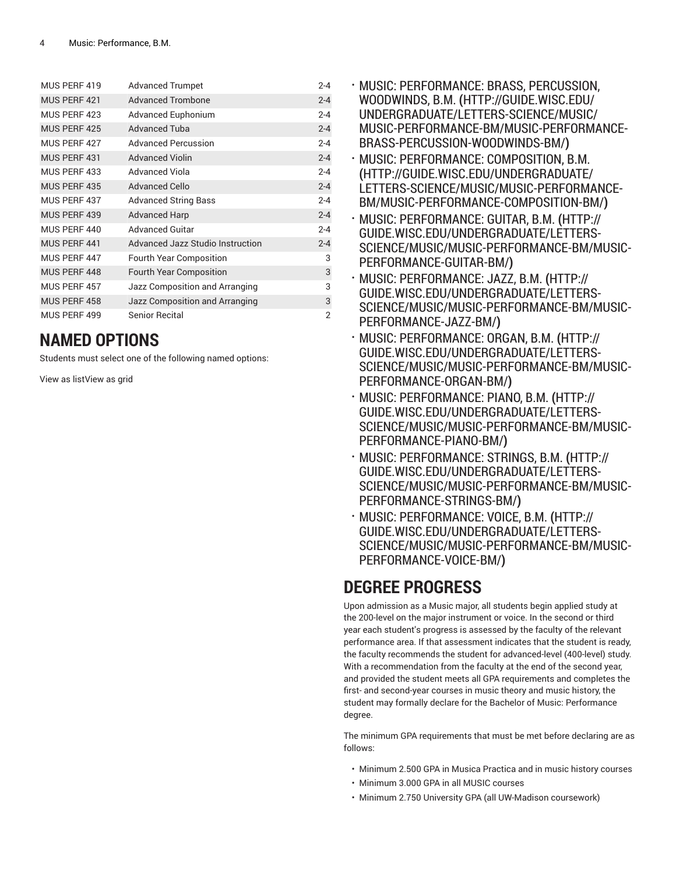| MUS PERF 419 | <b>Advanced Trumpet</b>          | $2 - 4$        |
|--------------|----------------------------------|----------------|
| MUS PERF 421 | <b>Advanced Trombone</b>         | $2 - 4$        |
| MUS PERF 423 | Advanced Euphonium               | $2 - 4$        |
| MUS PERF 425 | <b>Advanced Tuba</b>             | $2 - 4$        |
| MUS PERF 427 | <b>Advanced Percussion</b>       | $2 - 4$        |
| MUS PERF 431 | <b>Advanced Violin</b>           | $2 - 4$        |
| MUS PERF 433 | <b>Advanced Viola</b>            | $2 - 4$        |
| MUS PERF 435 | <b>Advanced Cello</b>            | $2 - 4$        |
| MUS PERF 437 | <b>Advanced String Bass</b>      | $2 - 4$        |
| MUS PERF 439 | <b>Advanced Harp</b>             | $2 - 4$        |
| MUS PERF 440 | <b>Advanced Guitar</b>           | $2 - 4$        |
| MUS PERF 441 | Advanced Jazz Studio Instruction | $2 - 4$        |
| MUS PERF 447 | <b>Fourth Year Composition</b>   | 3              |
| MUS PERF 448 | <b>Fourth Year Composition</b>   | 3              |
| MUS PERF 457 | Jazz Composition and Arranging   | 3              |
| MUS PERF 458 | Jazz Composition and Arranging   | 3              |
| MUS PERF 499 | Senior Recital                   | $\overline{2}$ |

### **NAMED OPTIONS**

Students must select one of the following named options:

View as listView as grid

- MUSIC: [PERFORMANCE:](http://guide.wisc.edu/undergraduate/letters-science/music/music-performance-bm/music-performance-brass-percussion-woodwinds-bm/) BRASS, PERCUSSION, [WOODWINDS, B.M.](http://guide.wisc.edu/undergraduate/letters-science/music/music-performance-bm/music-performance-brass-percussion-woodwinds-bm/) **(**[HTTP://GUIDE.WISC.EDU/](http://guide.wisc.edu/undergraduate/letters-science/music/music-performance-bm/music-performance-brass-percussion-woodwinds-bm/) [UNDERGRADUATE/LETTERS-SCIENCE/MUSIC/](http://guide.wisc.edu/undergraduate/letters-science/music/music-performance-bm/music-performance-brass-percussion-woodwinds-bm/) [MUSIC-PERFORMANCE-BM/MUSIC-PERFORMANCE-](http://guide.wisc.edu/undergraduate/letters-science/music/music-performance-bm/music-performance-brass-percussion-woodwinds-bm/)[BRASS-PERCUSSION-WOODWINDS-BM/](http://guide.wisc.edu/undergraduate/letters-science/music/music-performance-bm/music-performance-brass-percussion-woodwinds-bm/)**)**
- MUSIC: [PERFORMANCE:](http://guide.wisc.edu/undergraduate/letters-science/music/music-performance-bm/music-performance-composition-bm/) COMPOSITION, B.M. **(**[HTTP://GUIDE.WISC.EDU/UNDERGRADUATE/](http://guide.wisc.edu/undergraduate/letters-science/music/music-performance-bm/music-performance-composition-bm/) [LETTERS-SCIENCE/MUSIC/MUSIC-PERFORMANCE-](http://guide.wisc.edu/undergraduate/letters-science/music/music-performance-bm/music-performance-composition-bm/)[BM/MUSIC-PERFORMANCE-COMPOSITION-BM/](http://guide.wisc.edu/undergraduate/letters-science/music/music-performance-bm/music-performance-composition-bm/)**)**
- MUSIC: [PERFORMANCE:](http://guide.wisc.edu/undergraduate/letters-science/music/music-performance-bm/music-performance-guitar-bm/) GUITAR, B.M. **(**[HTTP://](http://guide.wisc.edu/undergraduate/letters-science/music/music-performance-bm/music-performance-guitar-bm/) [GUIDE.WISC.EDU/UNDERGRADUATE/LETTERS-](http://guide.wisc.edu/undergraduate/letters-science/music/music-performance-bm/music-performance-guitar-bm/)[SCIENCE/MUSIC/MUSIC-PERFORMANCE-BM/MUSIC-](http://guide.wisc.edu/undergraduate/letters-science/music/music-performance-bm/music-performance-guitar-bm/)[PERFORMANCE-GUITAR-BM/](http://guide.wisc.edu/undergraduate/letters-science/music/music-performance-bm/music-performance-guitar-bm/)**)**
- MUSIC: [PERFORMANCE:](http://guide.wisc.edu/undergraduate/letters-science/music/music-performance-bm/music-performance-jazz-bm/) JAZZ, B.M. **(**[HTTP://](http://guide.wisc.edu/undergraduate/letters-science/music/music-performance-bm/music-performance-jazz-bm/) [GUIDE.WISC.EDU/UNDERGRADUATE/LETTERS-](http://guide.wisc.edu/undergraduate/letters-science/music/music-performance-bm/music-performance-jazz-bm/)[SCIENCE/MUSIC/MUSIC-PERFORMANCE-BM/MUSIC-](http://guide.wisc.edu/undergraduate/letters-science/music/music-performance-bm/music-performance-jazz-bm/)[PERFORMANCE-JAZZ-BM/](http://guide.wisc.edu/undergraduate/letters-science/music/music-performance-bm/music-performance-jazz-bm/)**)**
- MUSIC: [PERFORMANCE:](http://guide.wisc.edu/undergraduate/letters-science/music/music-performance-bm/music-performance-organ-bm/) ORGAN, B.M. **(**[HTTP://](http://guide.wisc.edu/undergraduate/letters-science/music/music-performance-bm/music-performance-organ-bm/) [GUIDE.WISC.EDU/UNDERGRADUATE/LETTERS-](http://guide.wisc.edu/undergraduate/letters-science/music/music-performance-bm/music-performance-organ-bm/)[SCIENCE/MUSIC/MUSIC-PERFORMANCE-BM/MUSIC-](http://guide.wisc.edu/undergraduate/letters-science/music/music-performance-bm/music-performance-organ-bm/)[PERFORMANCE-ORGAN-BM/](http://guide.wisc.edu/undergraduate/letters-science/music/music-performance-bm/music-performance-organ-bm/)**)**
- MUSIC: [PERFORMANCE:](http://guide.wisc.edu/undergraduate/letters-science/music/music-performance-bm/music-performance-piano-bm/) PIANO, B.M. **(**[HTTP://](http://guide.wisc.edu/undergraduate/letters-science/music/music-performance-bm/music-performance-piano-bm/) [GUIDE.WISC.EDU/UNDERGRADUATE/LETTERS-](http://guide.wisc.edu/undergraduate/letters-science/music/music-performance-bm/music-performance-piano-bm/)[SCIENCE/MUSIC/MUSIC-PERFORMANCE-BM/MUSIC-](http://guide.wisc.edu/undergraduate/letters-science/music/music-performance-bm/music-performance-piano-bm/)[PERFORMANCE-PIANO-BM/](http://guide.wisc.edu/undergraduate/letters-science/music/music-performance-bm/music-performance-piano-bm/)**)**
- MUSIC: [PERFORMANCE:](http://guide.wisc.edu/undergraduate/letters-science/music/music-performance-bm/music-performance-strings-bm/) STRINGS, B.M. **(**[HTTP://](http://guide.wisc.edu/undergraduate/letters-science/music/music-performance-bm/music-performance-strings-bm/) [GUIDE.WISC.EDU/UNDERGRADUATE/LETTERS-](http://guide.wisc.edu/undergraduate/letters-science/music/music-performance-bm/music-performance-strings-bm/)[SCIENCE/MUSIC/MUSIC-PERFORMANCE-BM/MUSIC-](http://guide.wisc.edu/undergraduate/letters-science/music/music-performance-bm/music-performance-strings-bm/)[PERFORMANCE-STRINGS-BM/](http://guide.wisc.edu/undergraduate/letters-science/music/music-performance-bm/music-performance-strings-bm/)**)**
- MUSIC: [PERFORMANCE:](http://guide.wisc.edu/undergraduate/letters-science/music/music-performance-bm/music-performance-voice-bm/) VOICE, B.M. **(**[HTTP://](http://guide.wisc.edu/undergraduate/letters-science/music/music-performance-bm/music-performance-voice-bm/) [GUIDE.WISC.EDU/UNDERGRADUATE/LETTERS-](http://guide.wisc.edu/undergraduate/letters-science/music/music-performance-bm/music-performance-voice-bm/)[SCIENCE/MUSIC/MUSIC-PERFORMANCE-BM/MUSIC-](http://guide.wisc.edu/undergraduate/letters-science/music/music-performance-bm/music-performance-voice-bm/)[PERFORMANCE-VOICE-BM/](http://guide.wisc.edu/undergraduate/letters-science/music/music-performance-bm/music-performance-voice-bm/)**)**

## **DEGREE PROGRESS**

Upon admission as a Music major, all students begin applied study at the 200-level on the major instrument or voice. In the second or third year each student's progress is assessed by the faculty of the relevant performance area. If that assessment indicates that the student is ready, the faculty recommends the student for advanced-level (400-level) study. With a recommendation from the faculty at the end of the second year, and provided the student meets all GPA requirements and completes the first- and second-year courses in music theory and music history, the student may formally declare for the Bachelor of Music: Performance degree.

The minimum GPA requirements that must be met before declaring are as follows:

- Minimum 2.500 GPA in Musica Practica and in music history courses
- Minimum 3.000 GPA in all MUSIC courses
- Minimum 2.750 University GPA (all UW-Madison coursework)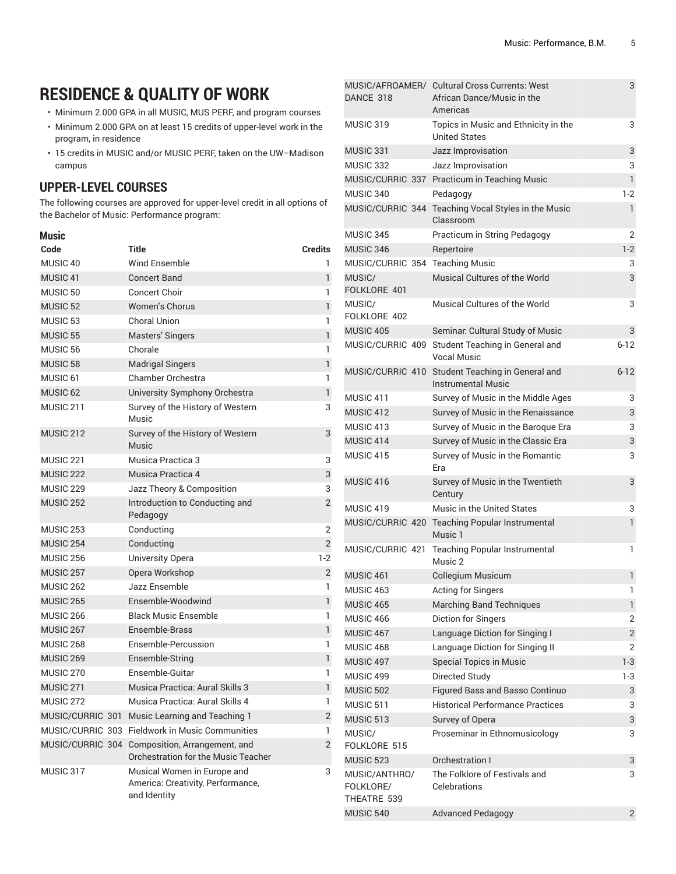# **RESIDENCE & QUALITY OF WORK**

- Minimum 2.000 GPA in all MUSIC, MUS PERF, and program courses
- Minimum 2.000 GPA on at least 15 credits of upper-level work in the program, in residence
- 15 credits in MUSIC and/or MUSIC PERF, taken on the UW–Madison campus

#### **UPPER-LEVEL COURSES**

The following courses are approved for upper-level credit in all options of the Bachelor of Music: Performance program:

| <b>Music</b>         |                                                                                  |                |
|----------------------|----------------------------------------------------------------------------------|----------------|
| Code                 | Title                                                                            | <b>Credits</b> |
| MUSIC <sub>40</sub>  | <b>Wind Ensemble</b>                                                             | 1              |
| MUSIC <sub>41</sub>  | <b>Concert Band</b>                                                              | 1              |
| MUSIC <sub>50</sub>  | <b>Concert Choir</b>                                                             | 1              |
| MUSIC <sub>52</sub>  | <b>Women's Chorus</b>                                                            | $\mathbf{1}$   |
| MUSIC <sub>53</sub>  | Choral Union                                                                     | 1              |
| <b>MUSIC 55</b>      | <b>Masters' Singers</b>                                                          | 1              |
| MUSIC 56             | Chorale                                                                          | 1              |
| MUSIC <sub>58</sub>  | <b>Madrigal Singers</b>                                                          | 1              |
| MUSIC <sub>61</sub>  | <b>Chamber Orchestra</b>                                                         | 1              |
| MUSIC <sub>62</sub>  | University Symphony Orchestra                                                    | 1              |
| MUSIC <sub>211</sub> | Survey of the History of Western<br>Music                                        | 3              |
| MUSIC <sub>212</sub> | Survey of the History of Western<br>Music                                        | 3              |
| MUSIC 221            | Musica Practica 3                                                                | 3              |
| MUSIC <sub>222</sub> | Musica Practica 4                                                                | 3              |
| <b>MUSIC 229</b>     | Jazz Theory & Composition                                                        | 3              |
| <b>MUSIC 252</b>     | Introduction to Conducting and<br>Pedagogy                                       | $\overline{2}$ |
| <b>MUSIC 253</b>     | Conducting                                                                       | $\overline{2}$ |
| MUSIC <sub>254</sub> | Conducting                                                                       | $\overline{2}$ |
| <b>MUSIC 256</b>     | University Opera                                                                 | $1-2$          |
| MUSIC <sub>257</sub> | Opera Workshop                                                                   | 2              |
| <b>MUSIC 262</b>     | Jazz Ensemble                                                                    | $\mathbf{1}$   |
| <b>MUSIC 265</b>     | Ensemble-Woodwind                                                                | $\mathbf{1}$   |
| <b>MUSIC 266</b>     | <b>Black Music Ensemble</b>                                                      | 1              |
| MUSIC <sub>267</sub> | Ensemble-Brass                                                                   | $\mathbf{1}$   |
| MUSIC 268            | Ensemble-Percussion                                                              | 1              |
| MUSIC <sub>269</sub> | Ensemble-String                                                                  | 1              |
| MUSIC <sub>270</sub> | Ensemble-Guitar                                                                  | 1              |
| MUSIC <sub>271</sub> | Musica Practica: Aural Skills 3                                                  | 1              |
| MUSIC <sub>272</sub> | Musica Practica: Aural Skills 4                                                  | $\mathbf{1}$   |
| MUSIC/CURRIC 301     | Music Learning and Teaching 1                                                    | 2              |
|                      | MUSIC/CURRIC 303 Fieldwork in Music Communities                                  | 1              |
| MUSIC/CURRIC 304     | Composition, Arrangement, and<br>Orchestration for the Music Teacher             | $\overline{2}$ |
| MUSIC 317            | Musical Women in Europe and<br>America: Creativity, Performance,<br>and Identity | 3              |

| DANCE 318                                 | MUSIC/AFROAMER/ Cultural Cross Currents: West<br>African Dance/Music in the<br>Americas | 3              |
|-------------------------------------------|-----------------------------------------------------------------------------------------|----------------|
| MUSIC 319                                 | Topics in Music and Ethnicity in the<br><b>United States</b>                            | 3              |
| MUSIC 331                                 | Jazz Improvisation                                                                      | 3              |
| MUSIC 332                                 | Jazz Improvisation                                                                      | 3              |
|                                           | MUSIC/CURRIC 337 Practicum in Teaching Music                                            | $\mathbf{1}$   |
| MUSIC 340                                 | Pedagogy                                                                                | $1-2$          |
|                                           | MUSIC/CURRIC 344 Teaching Vocal Styles in the Music<br>Classroom                        | $\mathbf{1}$   |
| MUSIC 345                                 | Practicum in String Pedagogy                                                            | 2              |
| MUSIC 346                                 | Repertoire                                                                              | $1-2$          |
| MUSIC/CURRIC 354 Teaching Music           |                                                                                         | 3              |
| MUSIC/<br>FOLKLORE 401                    | Musical Cultures of the World                                                           | 3              |
| MUSIC/<br>FOLKLORE 402                    | Musical Cultures of the World                                                           | 3              |
| MUSIC 405                                 | Seminar. Cultural Study of Music                                                        | 3              |
|                                           | MUSIC/CURRIC 409 Student Teaching in General and<br>Vocal Music                         | $6 - 12$       |
|                                           | MUSIC/CURRIC 410 Student Teaching in General and<br><b>Instrumental Music</b>           | $6 - 12$       |
| MUSIC 411                                 | Survey of Music in the Middle Ages                                                      | 3              |
| MUSIC <sub>412</sub>                      | Survey of Music in the Renaissance                                                      | 3              |
| MUSIC 413                                 | Survey of Music in the Baroque Era                                                      | 3              |
| MUSIC 414                                 | Survey of Music in the Classic Era                                                      | 3              |
| MUSIC 415                                 | Survey of Music in the Romantic<br>Era                                                  | 3              |
| MUSIC 416                                 | Survey of Music in the Twentieth<br>Century                                             | 3              |
| MUSIC 419                                 | Music in the United States                                                              | 3              |
|                                           | MUSIC/CURRIC 420 Teaching Popular Instrumental<br>Music 1                               | $\mathbf{1}$   |
| MUSIC/CURRIC 421                          | <b>Teaching Popular Instrumental</b><br>Music 2                                         | 1              |
| MUSIC 461                                 | Collegium Musicum                                                                       | 1              |
| MUSIC 463                                 | Acting for Singers                                                                      | 1              |
| MUSIC 465                                 | <b>Marching Band Techniques</b>                                                         | $\mathbf{1}$   |
| MUSIC 466                                 | Diction for Singers                                                                     | 2              |
| MUSIC 467                                 | Language Diction for Singing I                                                          | $\overline{2}$ |
| MUSIC 468                                 | Language Diction for Singing II                                                         | 2              |
| MUSIC 497                                 | Special Topics in Music                                                                 | $1-3$          |
| MUSIC 499                                 | Directed Study                                                                          | $1-3$          |
| <b>MUSIC 502</b>                          | Figured Bass and Basso Continuo                                                         | 3              |
| MUSIC 511                                 | <b>Historical Performance Practices</b>                                                 | 3              |
| MUSIC 513                                 | Survey of Opera                                                                         | 3              |
| MUSIC/<br>FOLKLORE 515                    | Proseminar in Ethnomusicology                                                           | 3              |
| MUSIC 523                                 | Orchestration I                                                                         | 3              |
| MUSIC/ANTHRO/<br>FOLKLORE/<br>THEATRE 539 | The Folklore of Festivals and<br>Celebrations                                           | 3              |
| MUSIC 540                                 | <b>Advanced Pedagogy</b>                                                                | $\overline{2}$ |